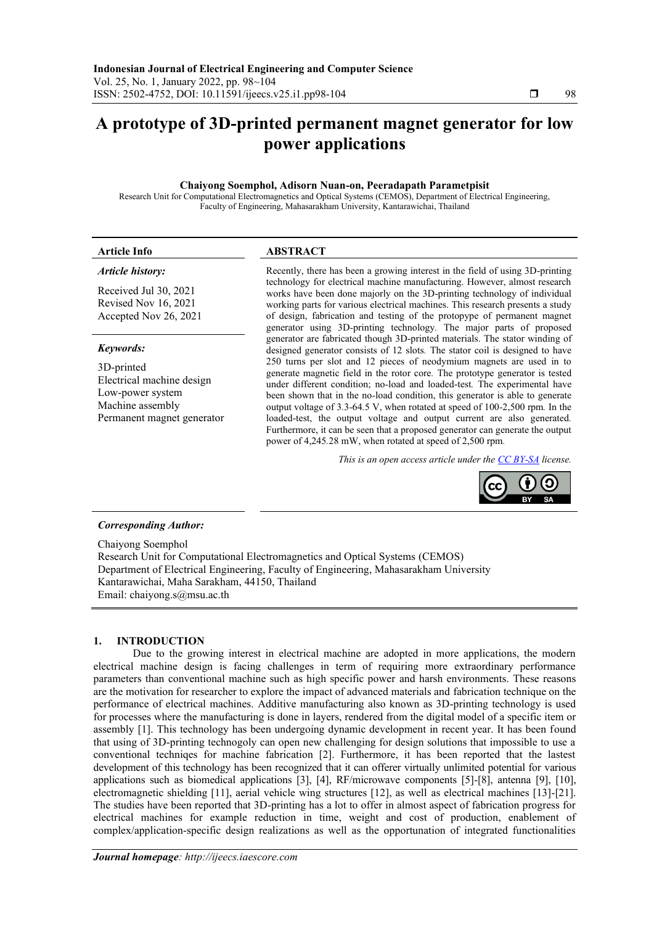# **A prototype of 3D-printed permanent magnet generator for low power applications**

## **Chaiyong Soemphol, Adisorn Nuan-on, Peeradapath Parametpisit**

Research Unit for Computational Electromagnetics and Optical Systems (CEMOS), Department of Electrical Engineering, Faculty of Engineering, Mahasarakham University, Kantarawichai, Thailand

## **Article Info ABSTRACT**

## *Article history:*

Received Jul 30, 2021 Revised Nov 16, 2021 Accepted Nov 26, 2021

## *Keywords:*

3D-printed Electrical machine design Low-power system Machine assembly Permanent magnet generator

Recently, there has been a growing interest in the field of using 3D-printing technology for electrical machine manufacturing. However, almost research works have been done majorly on the 3D-printing technology of individual working parts for various electrical machines. This research presents a study of design, fabrication and testing of the protopype of permanent magnet generator using 3D*-*printing technology*.* The major parts of proposed generator are fabricated though 3D-printed materials. The stator winding of designed generator consists of 12 slots*.* The stator coil is designed to have 250 turns per slot and 12 pieces of neodymium magnets are used in to generate magnetic field in the rotor core*.* The prototype generator is tested under different condition; no*-*load and loaded-test*.* The experimental have been shown that in the no*-*load condition, this generator is able to generate output voltage of 3*.*3*-*64*.*5 V, when rotated at speed of 100*-*2,500 rpm*.* In the loaded-test, the output voltage and output current are also generated*.*  Furthermore, it can be seen that a proposed generator can generate the output power of 4,245*.*28 mW, when rotated at speed of 2,500 rpm*.* 

*This is an open access article under the [CC BY-SA](https://creativecommons.org/licenses/by-sa/4.0/) license.*



## *Corresponding Author:*

Chaiyong Soemphol Research Unit for Computational Electromagnetics and Optical Systems (CEMOS) Department of Electrical Engineering, Faculty of Engineering, Mahasarakham University Kantarawichai, Maha Sarakham, 44150, Thailand Email: [chaiyong](mailto:chaiyong.s@msu.ac.th).s@msu.ac.th

## **1. INTRODUCTION**

Due to the growing interest in electrical machine are adopted in more applications, the modern electrical machine design is facing challenges in term of requiring more extraordinary performance parameters than conventional machine such as high specific power and harsh environments. These reasons are the motivation for researcher to explore the impact of advanced materials and fabrication technique on the performance of electrical machines. Additive manufacturing also known as 3D-printing technology is used for processes where the manufacturing is done in layers, rendered from the digital model of a specific item or assembly [1]. This technology has been undergoing dynamic development in recent year. It has been found that using of 3D-printing technogoly can open new challenging for design solutions that impossible to use a conventional techniqes for machine fabrication [2]. Furthermore, it has been reported that the lastest development of this technology has been recognized that it can offerer virtually unlimited potential for various applications such as biomedical applications [3], [4], RF/microwave components [5]-[8], antenna [9], [10], electromagnetic shielding [11], aerial vehicle wing structures [12], as well as electrical machines [13]-[21]. The studies have been reported that 3D-printing has a lot to offer in almost aspect of fabrication progress for electrical machines for example reduction in time, weight and cost of production, enablement of complex/application-specific design realizations as well as the opportunation of integrated functionalities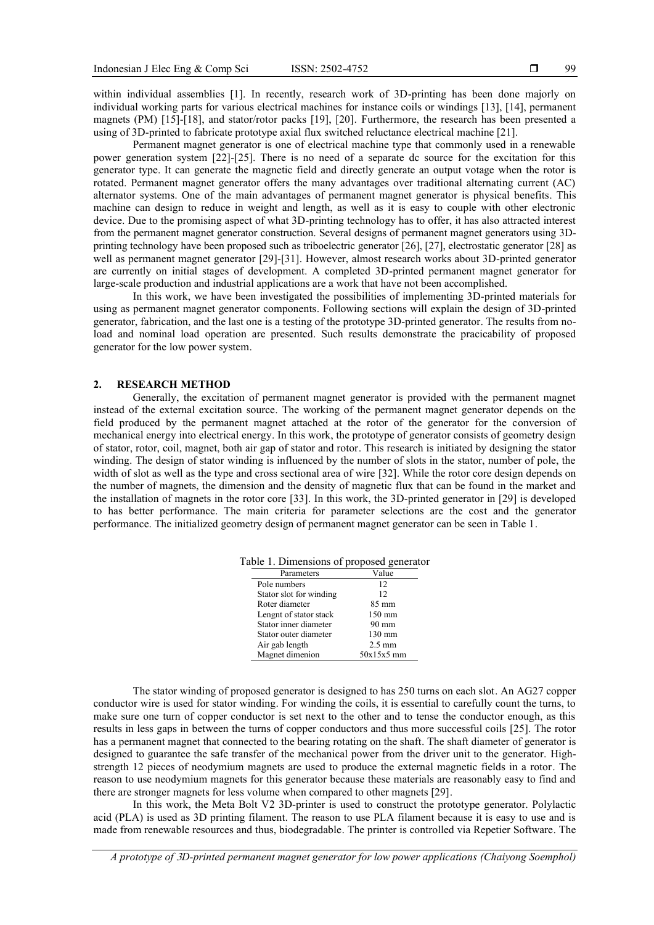within individual assemblies [1]. In recently, research work of 3D-printing has been done majorly on individual working parts for various electrical machines for instance coils or windings [13], [14], permanent magnets (PM) [15]-[18], and stator/rotor packs [19], [20]. Furthermore, the research has been presented a using of 3D-printed to fabricate prototype axial flux switched reluctance electrical machine [21].

Permanent magnet generator is one of electrical machine type that commonly used in a renewable power generation system [22]-[25]. There is no need of a separate dc source for the excitation for this generator type. It can generate the magnetic field and directly generate an output votage when the rotor is rotated. Permanent magnet generator offers the many advantages over traditional alternating current (AC) alternator systems. One of the main advantages of permanent magnet generator is physical benefits. This machine can design to reduce in weight and length, as well as it is easy to couple with other electronic device. Due to the promising aspect of what 3D-printing technology has to offer, it has also attracted interest from the permanent magnet generator construction. Several designs of permanent magnet generators using 3Dprinting technology have been proposed such as triboelectric generator [26], [27], electrostatic generator [28] as well as permanent magnet generator [29]-[31]. However, almost research works about 3D-printed generator are currently on initial stages of development. A completed 3D-printed permanent magnet generator for large-scale production and industrial applications are a work that have not been accomplished.

In this work, we have been investigated the possibilities of implementing 3D-printed materials for using as permanent magnet generator components. Following sections will explain the design of 3D-printed generator, fabrication, and the last one is a testing of the prototype 3D-printed generator. The results from noload and nominal load operation are presented. Such results demonstrate the pracicability of proposed generator for the low power system.

### **2. RESEARCH METHOD**

Generally, the excitation of permanent magnet generator is provided with the permanent magnet instead of the external excitation source. The working of the permanent magnet generator depends on the field produced by the permanent magnet attached at the rotor of the generator for the conversion of mechanical energy into electrical energy. In this work, the prototype of generator consists of geometry design of stator, rotor, coil, magnet, both air gap of stator and rotor. This research is initiated by designing the stator winding. The design of stator winding is influenced by the number of slots in the stator, number of pole, the width of slot as well as the type and cross sectional area of wire [32]. While the rotor core design depends on the number of magnets, the dimension and the density of magnetic flux that can be found in the market and the installation of magnets in the rotor core [33]. In this work, the 3D-printed generator in [29] is developed to has better performance. The main criteria for parameter selections are the cost and the generator performance. The initialized geometry design of permanent magnet generator can be seen in Table 1.

| able 1. Dimensions of proposed generat |                  |
|----------------------------------------|------------------|
| Parameters                             | Value            |
| Pole numbers                           | 12.              |
| Stator slot for winding                | 12.              |
| Roter diameter                         | $85 \text{ mm}$  |
| Lengnt of stator stack                 | $150 \text{ mm}$ |
| Stator inner diameter                  | $90 \text{ mm}$  |
| Stator outer diameter                  | $130 \text{ mm}$ |
| Air gab length                         | $2.5 \text{ mm}$ |
| Magnet dimenion                        | $50x15x5$ mm     |

Table 1. Dimensions of proposed generator

The stator winding of proposed generator is designed to has 250 turns on each slot. An AG27 copper conductor wire is used for stator winding. For winding the coils, it is essential to carefully count the turns, to make sure one turn of copper conductor is set next to the other and to tense the conductor enough, as this results in less gaps in between the turns of copper conductors and thus more successful coils [25]. The rotor has a permanent magnet that connected to the bearing rotating on the shaft. The shaft diameter of generator is designed to guarantee the safe transfer of the mechanical power from the driver unit to the generator. Highstrength 12 pieces of neodymium magnets are used to produce the external magnetic fields in a rotor. The reason to use neodymium magnets for this generator because these materials are reasonably easy to find and there are stronger magnets for less volume when compared to other magnets [29].

In this work, the Meta Bolt V2 3D-printer is used to construct the prototype generator. Polylactic acid (PLA) is used as 3D printing filament. The reason to use PLA filament because it is easy to use and is made from renewable resources and thus, biodegradable. The printer is controlled via Repetier Software. The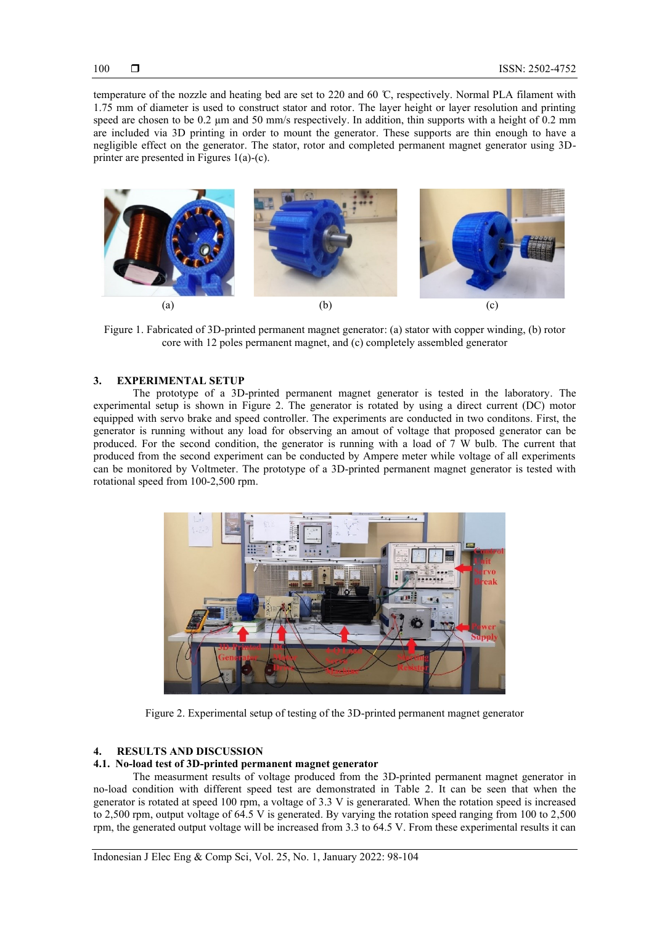temperature of the nozzle and heating bed are set to 220 and 60 ̊C, respectively. Normal PLA filament with 1.75 mm of diameter is used to construct stator and rotor. The layer height or layer resolution and printing speed are chosen to be 0.2  $\mu$ m and 50 mm/s respectively. In addition, thin supports with a height of 0.2 mm are included via 3D printing in order to mount the generator. These supports are thin enough to have a negligible effect on the generator. The stator, rotor and completed permanent magnet generator using 3Dprinter are presented in Figures 1(a)-(c).



Figure 1. Fabricated of 3D-printed permanent magnet generator: (a) stator with copper winding, (b) rotor core with 12 poles permanent magnet, and (c) completely assembled generator

## **3. EXPERIMENTAL SETUP**

The prototype of a 3D-printed permanent magnet generator is tested in the laboratory. The experimental setup is shown in Figure 2. The generator is rotated by using a direct current (DC) motor equipped with servo brake and speed controller. The experiments are conducted in two conditons. First, the generator is running without any load for observing an amout of voltage that proposed generator can be produced. For the second condition, the generator is running with a load of 7 W bulb. The current that produced from the second experiment can be conducted by Ampere meter while voltage of all experiments can be monitored by Voltmeter. The prototype of a 3D-printed permanent magnet generator is tested with rotational speed from 100-2,500 rpm.



Figure 2. Experimental setup of testing of the 3D-printed permanent magnet generator

## **4. RESULTS AND DISCUSSION**

## **4.1. No-load test of 3D-printed permanent magnet generator**

The measurment results of voltage produced from the 3D-printed permanent magnet generator in no-load condition with different speed test are demonstrated in Table 2. It can be seen that when the generator is rotated at speed 100 rpm, a voltage of 3.3 V is generarated. When the rotation speed is increased to 2,500 rpm, output voltage of 64.5 V is generated. By varying the rotation speed ranging from 100 to 2,500 rpm, the generated output voltage will be increased from 3.3 to 64.5 V. From these experimental results it can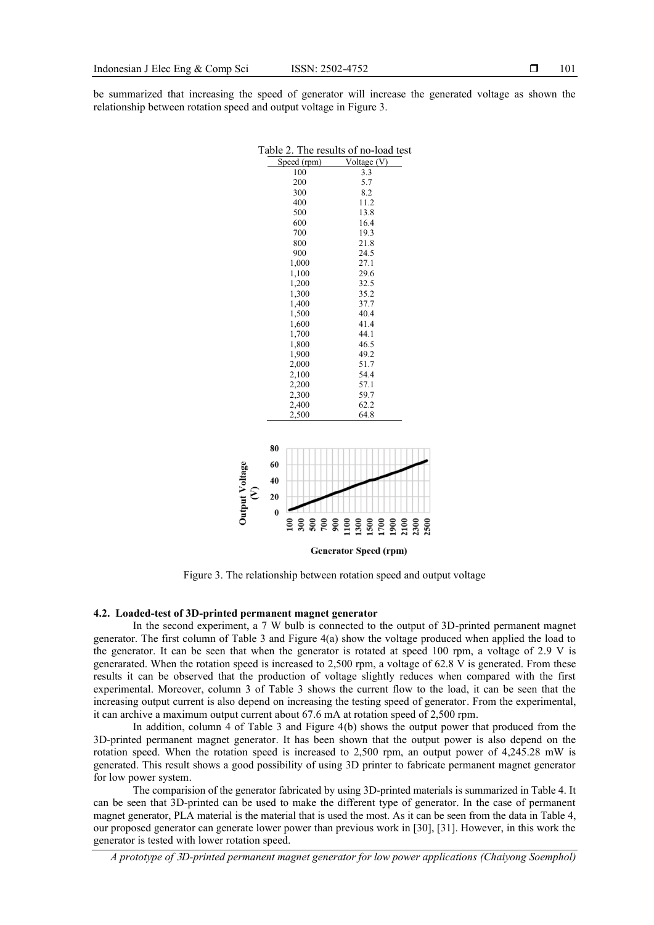be summarized that increasing the speed of generator will increase the generated voltage as shown the relationship between rotation speed and output voltage in Figure 3.

| Table 2. The results of no-load test |             |             |  |  |
|--------------------------------------|-------------|-------------|--|--|
|                                      | Speed (rpm) | Voltage (V) |  |  |
|                                      | 100         | 3.3         |  |  |
|                                      | 200         | 5.7         |  |  |
|                                      | 300         | 8.2         |  |  |
|                                      | 400         | 11.2        |  |  |
|                                      | 500         | 13.8        |  |  |
|                                      | 600         | 16.4        |  |  |
|                                      | 700         | 19.3        |  |  |
|                                      | 800         | 21.8        |  |  |
|                                      | 900         | 24.5        |  |  |
|                                      | 1,000       | 27.1        |  |  |
|                                      | 1,100       | 29.6        |  |  |
|                                      | 1,200       | 32.5        |  |  |
|                                      | 1,300       | 35.2        |  |  |
|                                      | 1,400       | 37.7        |  |  |
|                                      | 1,500       | 40.4        |  |  |
|                                      | 1,600       | 41.4        |  |  |
|                                      | 1,700       | 44.1        |  |  |
|                                      | 1,800       | 46.5        |  |  |
|                                      | 1,900       | 49.2        |  |  |
| 2,000                                |             | 51.7        |  |  |
| 2,100                                |             | 54.4        |  |  |
| 2,200                                |             | 57.1        |  |  |
| 2,300                                |             | 59.7        |  |  |
| 2,400                                |             | 62.2        |  |  |
|                                      | 2,500       | 64.8        |  |  |
|                                      |             |             |  |  |
|                                      |             |             |  |  |
| 80                                   |             |             |  |  |
| 60                                   |             |             |  |  |
| 40                                   |             |             |  |  |
| $\epsilon$<br>20                     |             |             |  |  |
|                                      |             |             |  |  |
| $\bf{0}$                             |             |             |  |  |
|                                      |             |             |  |  |
|                                      |             |             |  |  |
| <b>Generator Speed (rpm)</b>         |             |             |  |  |

Figure 3. The relationship between rotation speed and output voltage

## **4.2. Loaded-test of 3D-printed permanent magnet generator**

Output Voltage

In the second experiment, a 7 W bulb is connected to the output of 3D-printed permanent magnet generator. The first column of Table 3 and Figure 4(a) show the voltage produced when applied the load to the generator. It can be seen that when the generator is rotated at speed 100 rpm, a voltage of 2.9 V is generarated. When the rotation speed is increased to 2,500 rpm, a voltage of 62.8 V is generated. From these results it can be observed that the production of voltage slightly reduces when compared with the first experimental. Moreover, column 3 of Table 3 shows the current flow to the load, it can be seen that the increasing output current is also depend on increasing the testing speed of generator. From the experimental, it can archive a maximum output current about 67.6 mA at rotation speed of 2,500 rpm.

In addition, column 4 of Table 3 and Figure 4(b) shows the output power that produced from the 3D-printed permanent magnet generator. It has been shown that the output power is also depend on the rotation speed. When the rotation speed is increased to 2,500 rpm, an output power of 4,245.28 mW is generated. This result shows a good possibility of using 3D printer to fabricate permanent magnet generator for low power system.

The comparision of the generator fabricated by using 3D-printed materials is summarized in Table 4. It can be seen that 3D-printed can be used to make the different type of generator. In the case of permanent magnet generator, PLA material is the material that is used the most. As it can be seen from the data in Table 4, our proposed generator can generate lower power than previous work in [30], [31]. However, in this work the generator is tested with lower rotation speed.

*A prototype of* 3*D-printed permanent magnet generator for low power applications (Chaiyong Soemphol)*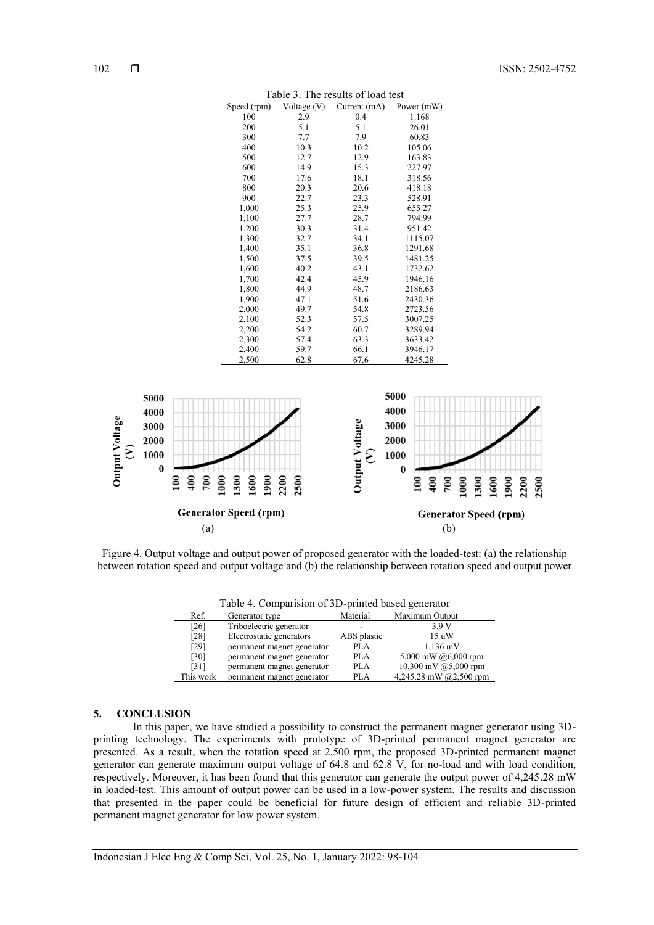| Table 3. The results of load test |             |              |            |  |
|-----------------------------------|-------------|--------------|------------|--|
| Speed (rpm)                       | Voltage (V) | Current (mA) | Power (mW) |  |
| 100                               | 2.9         | 0.4          | 1.168      |  |
| 200                               | 5.1         | 5.1          | 26.01      |  |
| 300                               | 7.7         | 7.9          | 60.83      |  |
| 400                               | 10.3        | 10.2         | 105.06     |  |
| 500                               | 12.7        | 12.9         | 163.83     |  |
| 600                               | 14.9        | 15.3         | 227.97     |  |
| 700                               | 17.6        | 18.1         | 318.56     |  |
| 800                               | 20.3        | 20.6         | 418.18     |  |
| 900                               | 22.7        | 23.3         | 528.91     |  |
| 1,000                             | 25.3        | 25.9         | 655.27     |  |
| 1,100                             | 27.7        | 28.7         | 794.99     |  |
| 1,200                             | 30.3        | 31.4         | 951.42     |  |
| 1,300                             | 32.7        | 34.1         | 1115.07    |  |
| 1,400                             | 35.1        | 36.8         | 1291.68    |  |
| 1,500                             | 37.5        | 39.5         | 1481.25    |  |
| 1,600                             | 40.2        | 43.1         | 1732.62    |  |
| 1,700                             | 42.4        | 45.9         | 1946.16    |  |
| 1,800                             | 44.9        | 48.7         | 2186.63    |  |
| 1,900                             | 47.1        | 51.6         | 2430.36    |  |
| 2,000                             | 49.7        | 54.8         | 2723.56    |  |
| 2,100                             | 52.3        | 57.5         | 3007.25    |  |
| 2,200                             | 54.2        | 60.7         | 3289.94    |  |
| 2,300                             | 57.4        | 63.3         | 3633.42    |  |
| 2,400                             | 59.7        | 66.1         | 3946.17    |  |
| 2,500                             | 62.8        | 67.6         | 4245.28    |  |



Figure 4. Output voltage and output power of proposed generator with the loaded-test: (a) the relationship between rotation speed and output voltage and (b) the relationship between rotation speed and output power

| Table 4. Comparision of 3D-printed based generator |                            |             |                        |  |  |
|----------------------------------------------------|----------------------------|-------------|------------------------|--|--|
| Ref.                                               | Generator type             | Material    | Maximum Output         |  |  |
| [26]                                               | Triboelectric generator    |             | 3.9 V                  |  |  |
| [28]                                               | Electrostatic generators   | ABS plastic | 15uW                   |  |  |
| [29]                                               | permanent magnet generator | <b>PLA</b>  | $1,136$ mV             |  |  |
| $[30]$                                             | permanent magnet generator | <b>PLA</b>  | 5,000 mW $@6,000$ rpm  |  |  |
| [31]                                               | permanent magnet generator | PLA         | 10,300 mV $@5,000$ rpm |  |  |

This work permanent magnet generator PLA  $4.245.28 \text{ mW}$   $\omega$   $2.500 \text{ mm}$ 

## **5. CONCLUSION**

In this paper, we have studied a possibility to construct the permanent magnet generator using 3Dprinting technology. The experiments with prototype of 3D-printed permanent magnet generator are presented. As a result, when the rotation speed at 2,500 rpm, the proposed 3D-printed permanent magnet generator can generate maximum output voltage of 64.8 and 62.8 V, for no-load and with load condition, respectively. Moreover, it has been found that this generator can generate the output power of 4,245.28 mW in loaded-test. This amount of output power can be used in a low-power system. The results and discussion that presented in the paper could be beneficial for future design of efficient and reliable 3D-printed permanent magnet generator for low power system.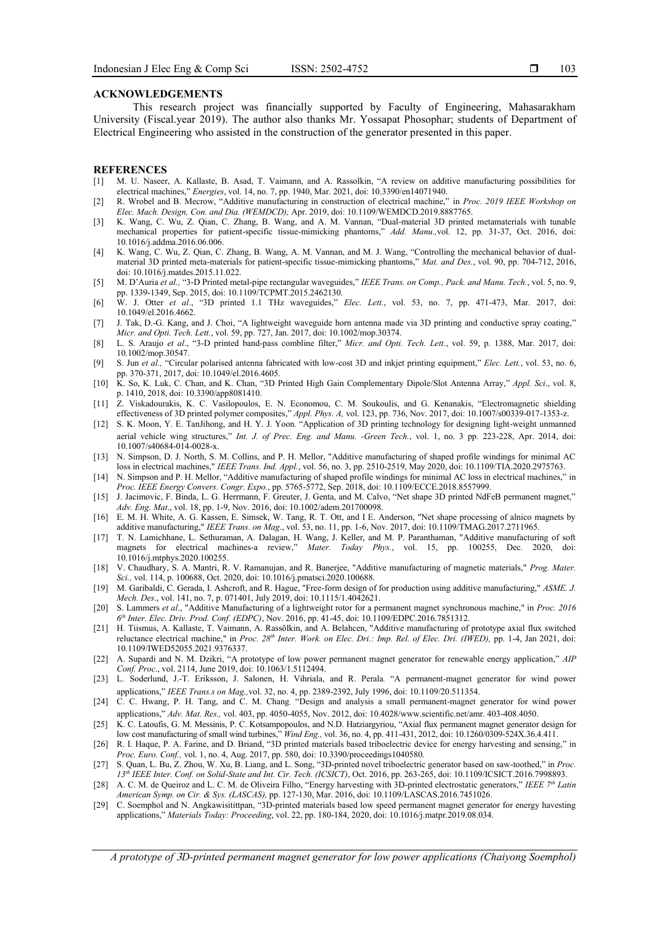#### **ACKNOWLEDGEMENTS**

This research project was financially supported by Faculty of Engineering, Mahasarakham University (Fiscal.year 2019). The author also thanks Mr. Yossapat Phosophar; students of Department of Electrical Engineering who assisted in the construction of the generator presented in this paper.

#### **REFERENCES**

- [1] M. U. Naseer, A. Kallaste, B. Asad, T. Vaimann, and A. Rassolkin, "A review on additive manufacturing possibilities for electrical machines," *Energies*, vol. 14, no. 7, pp. 1940, Mar. 2021, doi: 10.3390/en14071940.
- [2] R. Wrobel and B. Mecrow, "Additive manufacturing in construction of electrical machine," in *Proc. 2019 IEEE Workshop on Elec. Mach. Design, Con. and Dia. (WEMDCD),* Apr. 2019, doi: 10.1109/WEMDCD.2019.8887765.
- [3] K. Wang, C. Wu, Z. Qian, C. Zhang, B. Wang, and A. M. Vannan, "Dual-material 3D printed metamaterials with tunable mechanical properties for patient-specific tissue-mimicking phantoms," *Add. Manu.,*vol. 12, pp. 31-37, Oct. 2016, doi: 10.1016/j.addma.2016.06.006.
- [4] K. Wang, C. Wu, Z. Qian, C. Zhang, B. Wang, A. M. Vannan, and M. J. Wang, "Controlling the mechanical behavior of dualmaterial 3D printed meta-materials for patient-specific tissue-mimicking phantoms," *Mat. and Des.*, vol. 90, pp. 704-712, 2016, doi: 10.1016/j.matdes.2015.11.022.
- [5] M. D'Auria *et al.,* "3-D Printed metal-pipe rectangular waveguides," *IEEE Trans. on Comp., Pack. and Manu. Tech.*, vol. 5, no. 9, pp. 1339-1349, Sep. 2015, doi: 10.1109/TCPMT.2015.2462130.
- [6] W. J. Otter *et al*., "3D printed 1.1 THz waveguides," *Elec. Lett.*, vol. 53, no. 7, pp. 471-473, Mar. 2017, doi: 10.1049/el.2016.4662.
- [7] J. Tak, D.-G. Kang, and J. Choi, "A lightweight waveguide horn antenna made via 3D printing and conductive spray coating," *Micr. and Opti. Tech. Lett.*, vol. 59, pp. 727, Jan. 2017, doi: 10.1002/mop.30374.
- [8] L. S. Araujo *et al*., "3-D printed band-pass combline filter," *Micr. and Opti. Tech. Lett.*, vol. 59, p. 1388, Mar. 2017, doi: 10.1002/mop.30547.
- [9] S. Jun *et al.,* "Circular polarised antenna fabricated with low-cost 3D and inkjet printing equipment," *Elec. Lett.*, vol. 53, no. 6, pp. 370-371, 2017, doi: 10.1049/el.2016.4605.
- [10] K. So, K. Luk, C. Chan, and K. Chan, "3D Printed High Gain Complementary Dipole/Slot Antenna Array," *Appl. Sci*., vol. 8, p. 1410, 2018, doi: 10.3390/app8081410.
- [11] Z. Viskadourakis, K. C. Vasilopoulos, E. N. Economou, C. M. Soukoulis, and G. Kenanakis, "Electromagnetic shielding effectiveness of 3D printed polymer composites," *Appl. Phys. A,* vol. 123, pp. 736, Nov. 2017, doi: 10.1007/s00339-017-1353-z.
- [12] S. K. Moon, Y. E. TanJihong, and H. Y. J. Yoon, "Application of 3D printing technology for designing light-weight unmanned aerial vehicle wing structures," *Int. J. of Prec. Eng. and Manu. -Green Tech.*, vol. 1, no. 3 pp. 223-228, Apr. 2014, doi: 10.1007/s40684-014-0028-x.
- [13] N. Simpson, D. J. North, S. M. Collins, and P. H. Mellor, "Additive manufacturing of shaped profile windings for minimal AC loss in electrical machines," *IEEE Trans. Ind. Appl.*, vol. 56, no. 3, pp. 2510-2519, May 2020, doi: 10.1109/TIA.2020.2975763.
- [14] N. Simpson and P. H. Mellor, "Additive manufacturing of shaped profile windings for minimal AC loss in electrical machines," in *Proc. IEEE Energy Convers. Congr. Expo.*, pp. 5765-5772, Sep. 2018, doi: 10.1109/ECCE.2018.8557999.
- [15] J. Jacimovic, F. Binda, L. G. Herrmann, F. Greuter, J. Genta, and M. Calvo, "Net shape 3D printed NdFeB permanent magnet," *Adv. Eng. Mat*., vol. 18, pp. 1-9, Nov. 2016, doi: 10.1002/adem.201700098.
- [16] E. M. H. White, A. G. Kassen, E. Simsek, W. Tang, R. T. Ott, and I E. Anderson, "Net shape processing of alnico magnets by additive manufacturing," *IEEE Trans. on Mag*., vol. 53, no. 11, pp. 1-6, Nov. 2017, doi: 10.1109/TMAG.2017.2711965.
- [17] T. N. Lamichhane, L. Sethuraman, A. Dalagan, H. Wang, J. Keller, and M. P. Paranthaman, "Additive manufacturing of soft magnets for electrical machines-a review," *Mater. Today Phys.*, vol. 15, pp. 100255, Dec. 2020, doi: 10.1016/j.mtphys.2020.100255.
- [18] V. Chaudhary, S. A. Mantri, R. V. Ramanujan, and R. Banerjee, "Additive manufacturing of magnetic materials," *Prog. Mater. Sci.,* vol. 114, p. 100688, Oct. 2020, doi: 10.1016/j.pmatsci.2020.100688.
- [19] M. Garibaldi, C. Gerada, I. Ashcroft, and R. Hague, "Free-form design of for production using additive manufacturing," *ASME. J. Mech. Des*., vol. 141, no. 7, p. 071401, July 2019, doi: 10.1115/1.4042621.
- [20] S. Lammers *et al*., "Additive Manufacturing of a lightweight rotor for a permanent magnet synchronous machine," in *Proc. 2016 6 th Inter. Elec. Driv. Prod. Conf. (EDPC)*, Nov. 2016, pp. 41-45, doi: 10.1109/EDPC.2016.7851312.
- [21] H. Tiismus, A. Kallaste, T. Vaimann, A. Rassõlkin, and A. Belahcen, "Additive manufacturing of prototype axial flux switched reluctance electrical machine," in *Proc. 28th Inter. Work. on Elec. Dri.: Imp. Rel. of Elec. Dri. (IWED),* pp. 1-4, Jan 2021, doi: 10.1109/IWED52055.2021.9376337.
- [22] A. Supardi and N. M. Dzikri, "A prototype of low power permanent magnet generator for renewable energy application," *AIP Conf. Proc*., vol. 2114, June 2019, doi: 10.1063/1.5112494.
- [23] L. Soderlund, J.-T. Eriksson, J. Salonen, H. Vihriala, and R. Perala, "A permanent-magnet generator for wind power applications," *IEEE Trans.s on Mag.,*vol. 32, no. 4, pp. 2389-2392, July 1996, doi: 10.1109/20.511354.
- [24] C. C. Hwang, P. H. Tang, and C. M. Chang, "Design and analysis a small permanent-magnet generator for wind power applications," *Adv. Mat. Res.,* vol. 403, pp. 4050-4055, Nov. 2012, doi: 10.4028/www.scientific.net/amr. 403-408.4050.
- [25] K. C. Latoufis, G. M. Messinis, P. C. Kotsampopoulos, and N.D. Hatziargyriou, "Axial flux permanent magnet generator design for low cost manufacturing of small wind turbines," *Wind Eng.,* vol. 36, no. 4, pp. 411-431, 2012, doi: 10.1260/0309-524X.36.4.411.
- [26] R. I. Haque, P. A. Farine, and D. Briand, "3D printed materials based triboelectric device for energy harvesting and sensing," in *Proc. Euro. Conf.,* vol. 1, no. 4, Aug. 2017, pp. 580, doi: 10.3390/proceedings1040580.
- [27] S. Quan, L. Bu, Z. Zhou, W. Xu, B. Liang, and L. Song, "3D-printed novel triboelectric generator based on saw-toothed," in *Proc. 13th IEEE Inter. Conf. on Solid-State and Int. Cir. Tech. (ICSICT)*, Oct. 2016, pp. 263-265, doi: 10.1109/ICSICT.2016.7998893.
- [28] A. C. M. de Queiroz and L. C. M. de Oliveira Filho, "Energy harvesting with 3D-printed electrostatic generators," *IEEE 7th Latin American Symp. on Cir. & Sys. (LASCAS),* pp. 127-130, Mar. 2016, doi: 10.1109/LASCAS.2016.7451026.
- [29] C. Soemphol and N. Angkawisitittpan, "3D-printed materials based low speed permanent magnet generator for energy havesting applications," *Materials Today: Proceeding*, vol. 22, pp. 180-184, 2020, doi: 10.1016/j.matpr.2019.08.034.